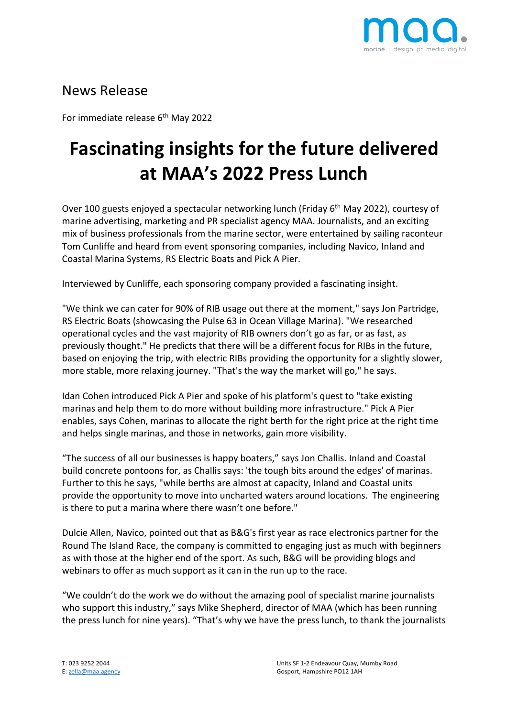

## News Release

For immediate release 6<sup>th</sup> May 2022

## **Fascinating insights for the future delivered at MAA's 2022 Press Lunch**

Over 100 guests enjoyed a spectacular networking lunch (Friday 6<sup>th</sup> May 2022), courtesy of marine advertising, marketing and PR specialist agency MAA. Journalists, and an exciting mix of business professionals from the marine sector, were entertained by sailing raconteur Tom Cunliffe and heard from event sponsoring companies, including Navico, Inland and Coastal Marina Systems, RS Electric Boats and Pick A Pier.

Interviewed by Cunliffe, each sponsoring company provided a fascinating insight.

"We think we can cater for 90% of RIB usage out there at the moment," says Jon Partridge, RS Electric Boats (showcasing the Pulse 63 in Ocean Village Marina). "We researched operational cycles and the vast majority of RIB owners don't go as far, or as fast, as previously thought." He predicts that there will be a different focus for RIBs in the future, based on enjoying the trip, with electric RIBs providing the opportunity for a slightly slower, more stable, more relaxing journey. "That's the way the market will go," he says.

Idan Cohen introduced Pick A Pier and spoke of his platform's quest to "take existing marinas and help them to do more without building more infrastructure." Pick A Pier enables, says Cohen, marinas to allocate the right berth for the right price at the right time and helps single marinas, and those in networks, gain more visibility.

"The success of all our businesses is happy boaters," says Jon Challis. Inland and Coastal build concrete pontoons for, as Challis says: 'the tough bits around the edges' of marinas. Further to this he says, "while berths are almost at capacity, Inland and Coastal units provide the opportunity to move into uncharted waters around locations. The engineering is there to put a marina where there wasn't one before."

Dulcie Allen, Navico, pointed out that as B&G's first year as race electronics partner for the Round The Island Race, the company is committed to engaging just as much with beginners as with those at the higher end of the sport. As such, B&G will be providing blogs and webinars to offer as much support as it can in the run up to the race.

"We couldn't do the work we do without the amazing pool of specialist marine journalists who support this industry," says Mike Shepherd, director of MAA (which has been running the press lunch for nine years). "That's why we have the press lunch, to thank the journalists